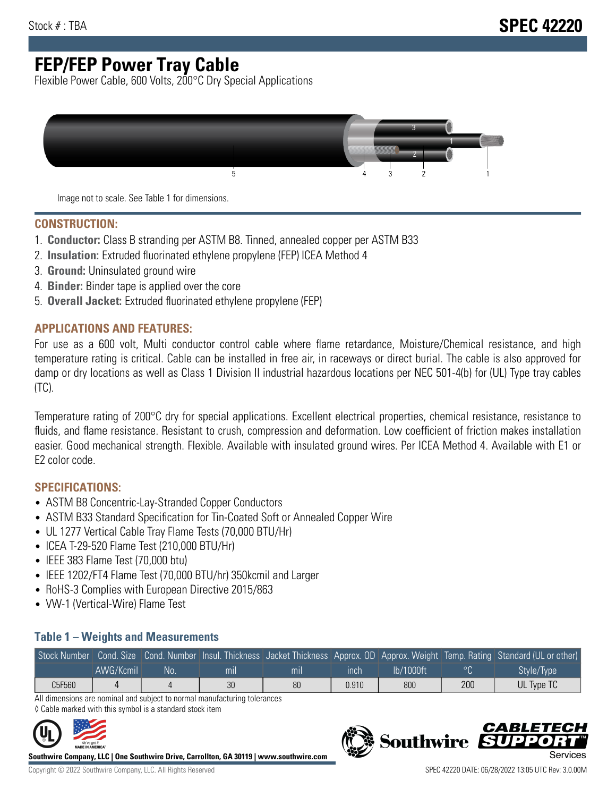# **FEP/FEP Power Tray Cable**

Flexible Power Cable, 600 Volts, 200°C Dry Special Applications



Image not to scale. See Table 1 for dimensions.

#### **CONSTRUCTION:**

- 1. **Conductor:** Class B stranding per ASTM B8. Tinned, annealed copper per ASTM B33
- 2. **Insulation:** Extruded fluorinated ethylene propylene (FEP) ICEA Method 4
- 3. **Ground:** Uninsulated ground wire
- 4. **Binder:** Binder tape is applied over the core
- 5. **Overall Jacket:** Extruded fluorinated ethylene propylene (FEP)

#### **APPLICATIONS AND FEATURES:**

For use as a 600 volt, Multi conductor control cable where flame retardance, Moisture/Chemical resistance, and high temperature rating is critical. Cable can be installed in free air, in raceways or direct burial. The cable is also approved for damp or dry locations as well as Class 1 Division II industrial hazardous locations per NEC 501-4(b) for (UL) Type tray cables (TC).

Temperature rating of 200°C dry for special applications. Excellent electrical properties, chemical resistance, resistance to fluids, and flame resistance. Resistant to crush, compression and deformation. Low coefficient of friction makes installation easier. Good mechanical strength. Flexible. Available with insulated ground wires. Per ICEA Method 4. Available with E1 or E2 color code.

### **SPECIFICATIONS:**

- ASTM B8 Concentric-Lay-Stranded Copper Conductors
- ASTM B33 Standard Specification for Tin-Coated Soft or Annealed Copper Wire
- UL 1277 Vertical Cable Tray Flame Tests (70,000 BTU/Hr)
- ICEA T-29-520 Flame Test (210,000 BTU/Hr)
- IEEE 383 Flame Test (70,000 btu)
- IEEE 1202/FT4 Flame Test (70,000 BTU/hr) 350kcmil and Larger
- RoHS-3 Complies with European Directive 2015/863
- VW-1 (Vertical-Wire) Flame Test

#### **Table 1 – Weights and Measurements**

|        |           |     |     |     |       |           |     | Stock Number Cond. Size Cond. Number Insul. Thickness Jacket Thickness Approx. OD Approx. Weight Temp. Rating Standard (UL or other) |
|--------|-----------|-----|-----|-----|-------|-----------|-----|--------------------------------------------------------------------------------------------------------------------------------------|
|        | AWG/Kcmil | No. | mıl | mil | ınch  | lb/1000ft |     | Style/Type                                                                                                                           |
| C5F560 |           |     | 30  | 80  | 0.910 | 800       | 200 | UL Type TC                                                                                                                           |

All dimensions are nominal and subject to normal manufacturing tolerances ◊ Cable marked with this symbol is a standard stock item



**Southwire Company, LLC | One Southwire Drive, Carrollton, GA 30119 | www.southwire.com**